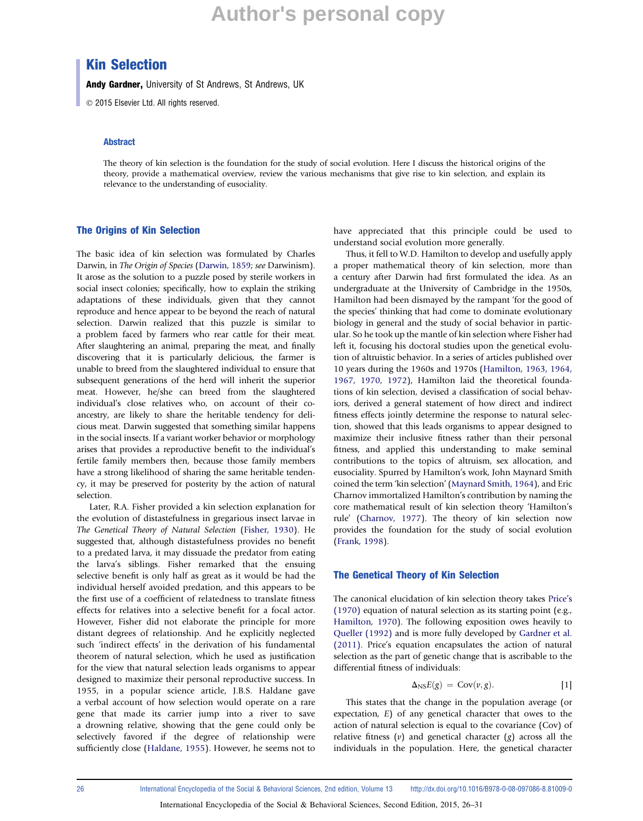# **Author's personal copy**

# Kin Selection

Andy Gardner, University of St Andrews, St Andrews, UK

2015 Elsevier Ltd. All rights reserved.

#### Abstract

The theory of kin selection is the foundation for the study of social evolution. Here I discuss the historical origins of the theory, provide a mathematical overview, review the various mechanisms that give rise to kin selection, and explain its relevance to the understanding of eusociality.

## The Origins of Kin Selection

The basic idea of kin selection was formulated by Charles Darwin, in The Origin of Species (Darwin, 1859; see Darwinism). It arose as the solution to a puzzle posed by sterile workers in social insect colonies; specifically, how to explain the striking adaptations of these individuals, given that they cannot reproduce and hence appear to be beyond the reach of natural selection. Darwin realized that this puzzle is similar to a problem faced by farmers who rear cattle for their meat. After slaughtering an animal, preparing the meat, and finally discovering that it is particularly delicious, the farmer is unable to breed from the slaughtered individual to ensure that subsequent generations of the herd will inherit the superior meat. However, he/she can breed from the slaughtered individual's close relatives who, on account of their coancestry, are likely to share the heritable tendency for delicious meat. Darwin suggested that something similar happens in the social insects. If a variant worker behavior or morphology arises that provides a reproductive benefit to the individual's fertile family members then, because those family members have a strong likelihood of sharing the same heritable tendency, it may be preserved for posterity by the action of natural selection.

Later, R.A. Fisher provided a kin selection explanation for the evolution of distastefulness in gregarious insect larvae in The Genetical Theory of Natural Selection (Fisher, 1930). He suggested that, although distastefulness provides no benefit to a predated larva, it may dissuade the predator from eating the larva's siblings. Fisher remarked that the ensuing selective benefit is only half as great as it would be had the individual herself avoided predation, and this appears to be the first use of a coefficient of relatedness to translate fitness effects for relatives into a selective benefit for a focal actor. However, Fisher did not elaborate the principle for more distant degrees of relationship. And he explicitly neglected such 'indirect effects' in the derivation of his fundamental theorem of natural selection, which he used as justification for the view that natural selection leads organisms to appear designed to maximize their personal reproductive success. In 1955, in a popular science article, J.B.S. Haldane gave a verbal account of how selection would operate on a rare gene that made its carrier jump into a river to save a drowning relative, showing that the gene could only be selectively favored if the degree of relationship were sufficiently close (Haldane, 1955). However, he seems not to

have appreciated that this principle could be used to understand social evolution more generally.

Thus, it fell to W.D. Hamilton to develop and usefully apply a proper mathematical theory of kin selection, more than a century after Darwin had first formulated the idea. As an undergraduate at the University of Cambridge in the 1950s, Hamilton had been dismayed by the rampant 'for the good of the species' thinking that had come to dominate evolutionary biology in general and the study of social behavior in particular. So he took up the mantle of kin selection where Fisher had left it, focusing his doctoral studies upon the genetical evolution of altruistic behavior. In a series of articles published over 10 years during the 1960s and 1970s (Hamilton, 1963, 1964, 1967, 1970, 1972), Hamilton laid the theoretical foundations of kin selection, devised a classification of social behaviors, derived a general statement of how direct and indirect fitness effects jointly determine the response to natural selection, showed that this leads organisms to appear designed to maximize their inclusive fitness rather than their personal fitness, and applied this understanding to make seminal contributions to the topics of altruism, sex allocation, and eusociality. Spurred by Hamilton's work, John Maynard Smith coined the term 'kin selection' (Maynard Smith, 1964), and Eric Charnov immortalized Hamilton's contribution by naming the core mathematical result of kin selection theory 'Hamilton's rule' (Charnov, 1977). The theory of kin selection now provides the foundation for the study of social evolution (Frank, 1998).

#### The Genetical Theory of Kin Selection

The canonical elucidation of kin selection theory takes Price's (1970) equation of natural selection as its starting point (e.g., Hamilton, 1970). The following exposition owes heavily to Queller (1992) and is more fully developed by Gardner et al. (2011). Price's equation encapsulates the action of natural selection as the part of genetic change that is ascribable to the differential fitness of individuals:

$$
\Delta_{\text{NS}}E(g) = \text{Cov}(v, g). \qquad [1]
$$

This states that the change in the population average (or expectation, E) of any genetical character that owes to the action of natural selection is equal to the covariance (Cov) of relative fitness  $(v)$  and genetical character  $(g)$  across all the individuals in the population. Here, the genetical character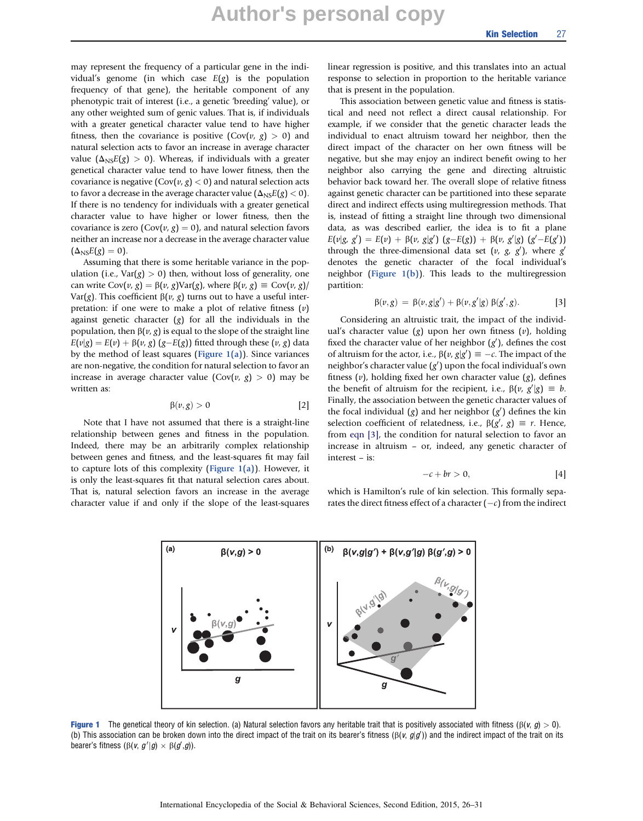may represent the frequency of a particular gene in the individual's genome (in which case  $E(g)$  is the population frequency of that gene), the heritable component of any phenotypic trait of interest (i.e., a genetic 'breeding' value), or any other weighted sum of genic values. That is, if individuals with a greater genetical character value tend to have higher fitness, then the covariance is positive  $(Cov(v, g) > 0)$  and natural selection acts to favor an increase in average character value  $(\Delta_{NS}E(g) > 0)$ . Whereas, if individuals with a greater genetical character value tend to have lower fitness, then the covariance is negative  $(Cov(v, g) < 0)$  and natural selection acts to favor a decrease in the average character value ( $\Delta_{\text{NS}}E(g) < 0$ ). If there is no tendency for individuals with a greater genetical character value to have higher or lower fitness, then the covariance is zero  $(Cov(v, g) = 0)$ , and natural selection favors neither an increase nor a decrease in the average character value  $(\Delta_{\text{NS}}E(g) = 0).$ 

Assuming that there is some heritable variance in the population (i.e.,  $Var(g) > 0$ ) then, without loss of generality, one can write  $Cov(v, g) = \beta(v, g)Var(g)$ , where  $\beta(v, g) \equiv Cov(v, g)$ / Var(g). This coefficient  $\beta(v, g)$  turns out to have a useful interpretation: if one were to make a plot of relative fitness  $(v)$ against genetic character  $(g)$  for all the individuals in the population, then  $\beta(v, g)$  is equal to the slope of the straight line  $E(v|g) = E(v) + \beta(v, g) (g-E(g))$  fitted through these  $(v, g)$  data by the method of least squares (Figure  $1(a)$ ). Since variances are non-negative, the condition for natural selection to favor an increase in average character value (Cov( $v$ ,  $g$ ) > 0) may be written as:

$$
\beta(v,g) > 0 \tag{2}
$$

Note that I have not assumed that there is a straight-line relationship between genes and fitness in the population. Indeed, there may be an arbitrarily complex relationship between genes and fitness, and the least-squares fit may fail to capture lots of this complexity (Figure  $1(a)$ ). However, it is only the least-squares fit that natural selection cares about. That is, natural selection favors an increase in the average character value if and only if the slope of the least-squares linear regression is positive, and this translates into an actual response to selection in proportion to the heritable variance that is present in the population.

This association between genetic value and fitness is statistical and need not reflect a direct causal relationship. For example, if we consider that the genetic character leads the individual to enact altruism toward her neighbor, then the direct impact of the character on her own fitness will be negative, but she may enjoy an indirect benefit owing to her neighbor also carrying the gene and directing altruistic behavior back toward her. The overall slope of relative fitness against genetic character can be partitioned into these separate direct and indirect effects using multiregression methods. That is, instead of fitting a straight line through two dimensional data, as was described earlier, the idea is to fit a plane  $E(v|g, g') = E(v) + \beta(v, g|g') (g-E(g)) + \beta(v, g'|g) (g'-E(g'))$ through the three-dimensional data set  $(v, g, g')$ , where g denotes the genetic character of the focal individual's neighbor (Figure 1(b)). This leads to the multiregression partition:

$$
\beta(v,g) = \beta(v,g|g') + \beta(v,g'|g) \beta(g',g).
$$
 [3]

Considering an altruistic trait, the impact of the individual's character value  $(g)$  upon her own fitness  $(v)$ , holding fixed the character value of her neighbor  $(g')$ , defines the cost of altruism for the actor, i.e.,  $\beta(v, g|g') \equiv -c$ . The impact of the neighbor's character value  $(g')$  upon the focal individual's own fitness  $(v)$ , holding fixed her own character value  $(g)$ , defines the benefit of altruism for the recipient, i.e.,  $\beta(v, g'|g) \equiv b$ . Finally, the association between the genetic character values of the focal individual  $(g)$  and her neighbor  $(g')$  defines the kin selection coefficient of relatedness, i.e.,  $\beta(g', g) \equiv r$ . Hence, from eqn [3], the condition for natural selection to favor an increase in altruism – or, indeed, any genetic character of interest – is:

$$
-c + br > 0, \qquad [4]
$$

which is Hamilton's rule of kin selection. This formally separates the direct fitness effect of a character  $(-c)$  from the indirect



**Figure 1** The genetical theory of kin selection. (a) Natural selection favors any heritable trait that is positively associated with fitness ( $\beta(v, g) > 0$ ). (b) This association can be broken down into the direct impact of the trait on its bearer's fitness ( $\beta(v, g|g')$ ) and the indirect impact of the trait on its bearer's fitness ( $\beta(v, g|g')$ ) and the indirect impact of the tra bearer's fitness  $(\beta(v, g'|g) \times \beta(g', g))$ .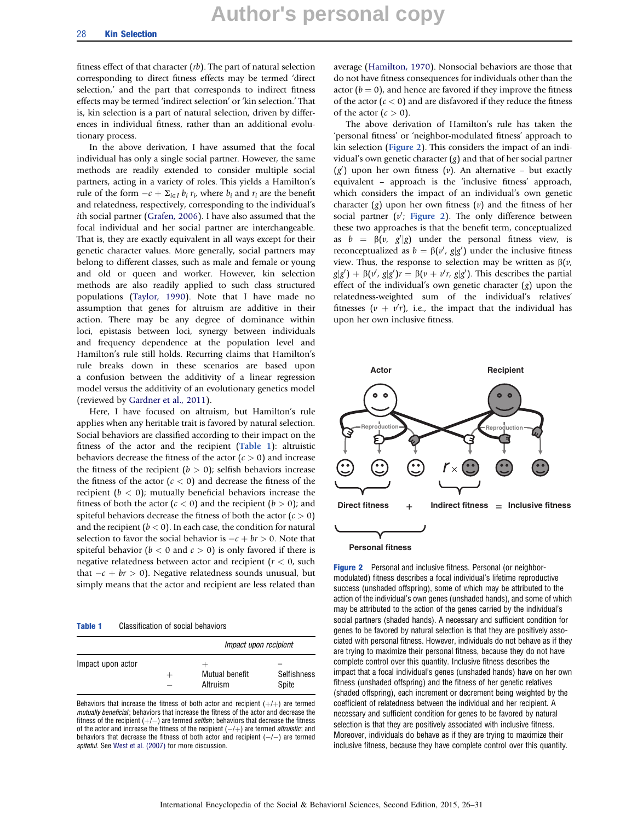fitness effect of that character  $(rb)$ . The part of natural selection corresponding to direct fitness effects may be termed 'direct selection,' and the part that corresponds to indirect fitness effects may be termed 'indirect selection' or 'kin selection.' That is, kin selection is a part of natural selection, driven by differences in individual fitness, rather than an additional evolutionary process.

In the above derivation, I have assumed that the focal individual has only a single social partner. However, the same methods are readily extended to consider multiple social partners, acting in a variety of roles. This yields a Hamilton's rule of the form  $-c + \sum_{i \in I} b_i r_i$ , where  $b_i$  and  $r_i$  are the benefit and relatedness, respectively, corresponding to the individual's ith social partner (Grafen, 2006). I have also assumed that the focal individual and her social partner are interchangeable. That is, they are exactly equivalent in all ways except for their genetic character values. More generally, social partners may belong to different classes, such as male and female or young and old or queen and worker. However, kin selection methods are also readily applied to such class structured populations (Taylor, 1990). Note that I have made no assumption that genes for altruism are additive in their action. There may be any degree of dominance within loci, epistasis between loci, synergy between individuals and frequency dependence at the population level and Hamilton's rule still holds. Recurring claims that Hamilton's rule breaks down in these scenarios are based upon a confusion between the additivity of a linear regression model versus the additivity of an evolutionary genetics model (reviewed by Gardner et al., 2011).

Here, I have focused on altruism, but Hamilton's rule applies when any heritable trait is favored by natural selection. Social behaviors are classified according to their impact on the fitness of the actor and the recipient (Table 1): altruistic behaviors decrease the fitness of the actor  $(c > 0)$  and increase the fitness of the recipient  $(b > 0)$ ; selfish behaviors increase the fitness of the actor  $(c < 0)$  and decrease the fitness of the recipient ( $b < 0$ ); mutually beneficial behaviors increase the fitness of both the actor  $(c < 0)$  and the recipient  $(b > 0)$ ; and spiteful behaviors decrease the fitness of both the actor  $(c > 0)$ and the recipient  $(b < 0)$ . In each case, the condition for natural selection to favor the social behavior is  $-c + br > 0$ . Note that spiteful behavior ( $b < 0$  and  $c > 0$ ) is only favored if there is negative relatedness between actor and recipient ( $r < 0$ , such that  $-c + br > 0$ ). Negative relatedness sounds unusual, but simply means that the actor and recipient are less related than

Table 1 Classification of social behaviors

|                   | Impact upon recipient      |                      |
|-------------------|----------------------------|----------------------|
| Impact upon actor | Mutual benefit<br>Altruism | Selfishness<br>Spite |

Behaviors that increase the fitness of both actor and recipient  $(+/+)$  are termed mutually beneficial: behaviors that increase the fitness of the actor and decrease the fitness of the recipient  $(+/-)$  are termed *selfish*; behaviors that decrease the fitness<br>of the actor and increase the fitness of the recipient  $(-/+)$  are termed *altruistic*: and of the actor and increase the fitness of the recipient  $(-/+)$  are termed *altruistic*; and hehaviors that decrease the fitness of both actor and recipient  $(-/-)$  are termed behaviors that decrease the fitness of both actor and recipient  $(-/-)$  are termed spiteful. See West et al. (2007) for more discussion.

average (Hamilton, 1970). Nonsocial behaviors are those that do not have fitness consequences for individuals other than the actor  $(b = 0)$ , and hence are favored if they improve the fitness of the actor  $(c < 0)$  and are disfavored if they reduce the fitness of the actor  $(c > 0)$ .

The above derivation of Hamilton's rule has taken the 'personal fitness' or 'neighbor-modulated fitness' approach to kin selection (Figure 2). This considers the impact of an individual's own genetic character (g) and that of her social partner  $(g')$  upon her own fitness (v). An alternative - but exactly equivalent – approach is the 'inclusive fitness' approach, which considers the impact of an individual's own genetic character  $(g)$  upon her own fitness  $(v)$  and the fitness of her social partner ( $v'$ ; Figure 2). The only difference between<br>these two approaches is that the benefit term conceptualized these two approaches is that the benefit term, conceptualized as  $b = \beta(v, g'|g)$  under the personal fitness view, is reconceptualized as  $b = \beta(v', g|g')$  under the inclusive fitness view. Thus, the response to selection may be written as  $\beta(\nu,$  $g|g'\rangle + \beta(v', g|g')r = \beta(v + v'r, g|g')$ . This describes the partial effect of the individual's own genetic character  $(g)$  upon the relatedness-weighted sum of the individual's relatives' fitnesses  $(v + v'r)$ , i.e., the impact that the individual has upon her own inclusive fitness.



Figure 2 Personal and inclusive fitness. Personal (or neighbormodulated) fitness describes a focal individual's lifetime reproductive success (unshaded offspring), some of which may be attributed to the action of the individual's own genes (unshaded hands), and some of which may be attributed to the action of the genes carried by the individual's social partners (shaded hands). A necessary and sufficient condition for genes to be favored by natural selection is that they are positively associated with personal fitness. However, individuals do not behave as if they are trying to maximize their personal fitness, because they do not have complete control over this quantity. Inclusive fitness describes the impact that a focal individual's genes (unshaded hands) have on her own fitness (unshaded offspring) and the fitness of her genetic relatives (shaded offspring), each increment or decrement being weighted by the coefficient of relatedness between the individual and her recipient. A necessary and sufficient condition for genes to be favored by natural selection is that they are positively associated with inclusive fitness. Moreover, individuals do behave as if they are trying to maximize their inclusive fitness, because they have complete control over this quantity.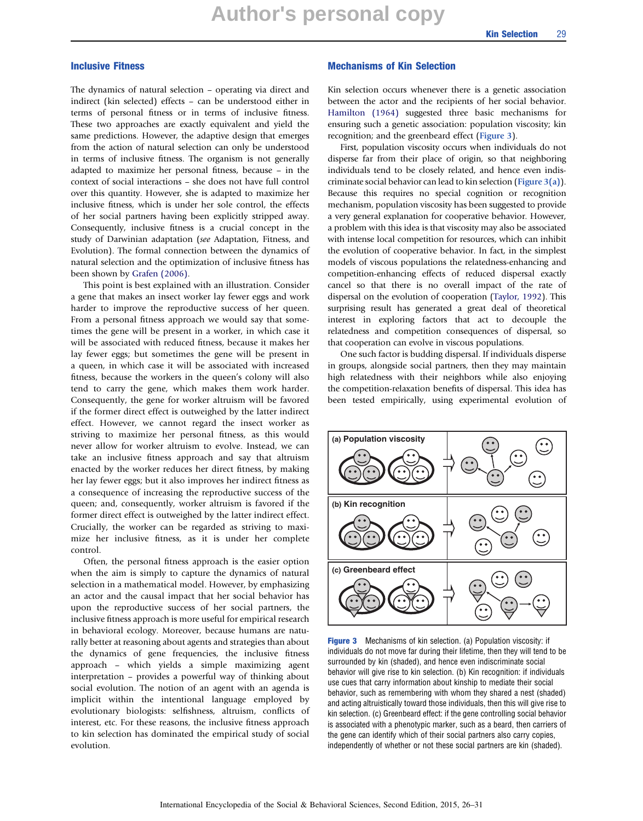#### Inclusive Fitness

The dynamics of natural selection – operating via direct and indirect (kin selected) effects – can be understood either in terms of personal fitness or in terms of inclusive fitness. These two approaches are exactly equivalent and yield the same predictions. However, the adaptive design that emerges from the action of natural selection can only be understood in terms of inclusive fitness. The organism is not generally adapted to maximize her personal fitness, because – in the context of social interactions – she does not have full control over this quantity. However, she is adapted to maximize her inclusive fitness, which is under her sole control, the effects of her social partners having been explicitly stripped away. Consequently, inclusive fitness is a crucial concept in the study of Darwinian adaptation (see Adaptation, Fitness, and Evolution). The formal connection between the dynamics of natural selection and the optimization of inclusive fitness has been shown by Grafen (2006).

This point is best explained with an illustration. Consider a gene that makes an insect worker lay fewer eggs and work harder to improve the reproductive success of her queen. From a personal fitness approach we would say that sometimes the gene will be present in a worker, in which case it will be associated with reduced fitness, because it makes her lay fewer eggs; but sometimes the gene will be present in a queen, in which case it will be associated with increased fitness, because the workers in the queen's colony will also tend to carry the gene, which makes them work harder. Consequently, the gene for worker altruism will be favored if the former direct effect is outweighed by the latter indirect effect. However, we cannot regard the insect worker as striving to maximize her personal fitness, as this would never allow for worker altruism to evolve. Instead, we can take an inclusive fitness approach and say that altruism enacted by the worker reduces her direct fitness, by making her lay fewer eggs; but it also improves her indirect fitness as a consequence of increasing the reproductive success of the queen; and, consequently, worker altruism is favored if the former direct effect is outweighed by the latter indirect effect. Crucially, the worker can be regarded as striving to maximize her inclusive fitness, as it is under her complete control.

Often, the personal fitness approach is the easier option when the aim is simply to capture the dynamics of natural selection in a mathematical model. However, by emphasizing an actor and the causal impact that her social behavior has upon the reproductive success of her social partners, the inclusive fitness approach is more useful for empirical research in behavioral ecology. Moreover, because humans are naturally better at reasoning about agents and strategies than about the dynamics of gene frequencies, the inclusive fitness approach – which yields a simple maximizing agent interpretation – provides a powerful way of thinking about social evolution. The notion of an agent with an agenda is implicit within the intentional language employed by evolutionary biologists: selfishness, altruism, conflicts of interest, etc. For these reasons, the inclusive fitness approach to kin selection has dominated the empirical study of social evolution.

#### Mechanisms of Kin Selection

Kin selection occurs whenever there is a genetic association between the actor and the recipients of her social behavior. Hamilton (1964) suggested three basic mechanisms for ensuring such a genetic association: population viscosity; kin recognition; and the greenbeard effect (Figure 3).

First, population viscosity occurs when individuals do not disperse far from their place of origin, so that neighboring individuals tend to be closely related, and hence even indiscriminate social behavior can lead to kin selection (Figure  $3(a)$ ). Because this requires no special cognition or recognition mechanism, population viscosity has been suggested to provide a very general explanation for cooperative behavior. However, a problem with this idea is that viscosity may also be associated with intense local competition for resources, which can inhibit the evolution of cooperative behavior. In fact, in the simplest models of viscous populations the relatedness-enhancing and competition-enhancing effects of reduced dispersal exactly cancel so that there is no overall impact of the rate of dispersal on the evolution of cooperation (Taylor, 1992). This surprising result has generated a great deal of theoretical interest in exploring factors that act to decouple the relatedness and competition consequences of dispersal, so that cooperation can evolve in viscous populations.

One such factor is budding dispersal. If individuals disperse in groups, alongside social partners, then they may maintain high relatedness with their neighbors while also enjoying the competition-relaxation benefits of dispersal. This idea has been tested empirically, using experimental evolution of



Figure 3 Mechanisms of kin selection. (a) Population viscosity: if individuals do not move far during their lifetime, then they will tend to be surrounded by kin (shaded), and hence even indiscriminate social behavior will give rise to kin selection. (b) Kin recognition: if individuals use cues that carry information about kinship to mediate their social behavior, such as remembering with whom they shared a nest (shaded) and acting altruistically toward those individuals, then this will give rise to kin selection. (c) Greenbeard effect: if the gene controlling social behavior is associated with a phenotypic marker, such as a beard, then carriers of the gene can identify which of their social partners also carry copies, independently of whether or not these social partners are kin (shaded).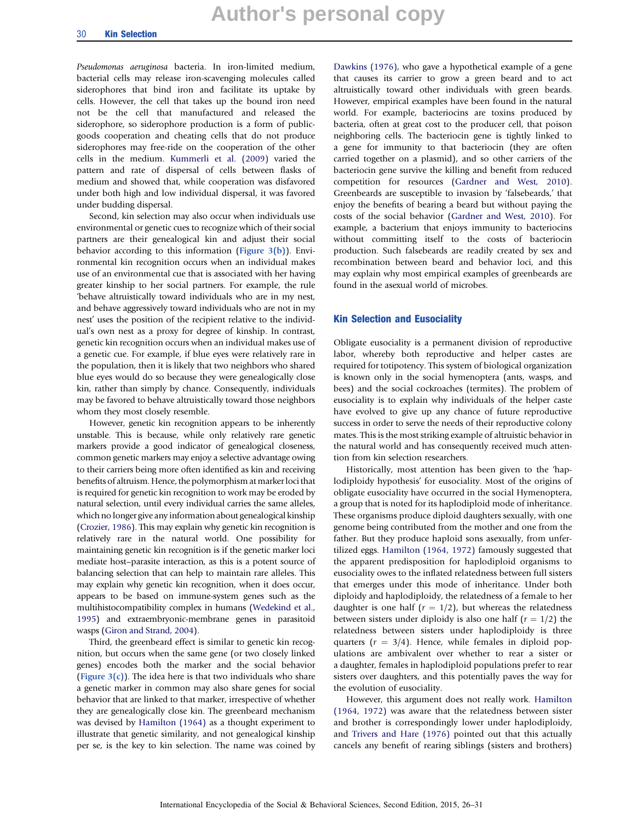Pseudomonas aeruginosa bacteria. In iron-limited medium, bacterial cells may release iron-scavenging molecules called siderophores that bind iron and facilitate its uptake by cells. However, the cell that takes up the bound iron need not be the cell that manufactured and released the siderophore, so siderophore production is a form of publicgoods cooperation and cheating cells that do not produce siderophores may free-ride on the cooperation of the other cells in the medium. Kummerli et al. (2009) varied the pattern and rate of dispersal of cells between flasks of medium and showed that, while cooperation was disfavored under both high and low individual dispersal, it was favored under budding dispersal.

Second, kin selection may also occur when individuals use environmental or genetic cues to recognize which of their social partners are their genealogical kin and adjust their social behavior according to this information (Figure 3(b)). Environmental kin recognition occurs when an individual makes use of an environmental cue that is associated with her having greater kinship to her social partners. For example, the rule 'behave altruistically toward individuals who are in my nest, and behave aggressively toward individuals who are not in my nest' uses the position of the recipient relative to the individual's own nest as a proxy for degree of kinship. In contrast, genetic kin recognition occurs when an individual makes use of a genetic cue. For example, if blue eyes were relatively rare in the population, then it is likely that two neighbors who shared blue eyes would do so because they were genealogically close kin, rather than simply by chance. Consequently, individuals may be favored to behave altruistically toward those neighbors whom they most closely resemble.

However, genetic kin recognition appears to be inherently unstable. This is because, while only relatively rare genetic markers provide a good indicator of genealogical closeness, common genetic markers may enjoy a selective advantage owing to their carriers being more often identified as kin and receiving benefits of altruism. Hence, the polymorphism at marker loci that is required for genetic kin recognition to work may be eroded by natural selection, until every individual carries the same alleles, which no longer give any information about genealogical kinship (Crozier, 1986). This may explain why genetic kin recognition is relatively rare in the natural world. One possibility for maintaining genetic kin recognition is if the genetic marker loci mediate host–parasite interaction, as this is a potent source of balancing selection that can help to maintain rare alleles. This may explain why genetic kin recognition, when it does occur, appears to be based on immune-system genes such as the multihistocompatibility complex in humans (Wedekind et al., 1995) and extraembryonic-membrane genes in parasitoid wasps (Giron and Strand, 2004).

Third, the greenbeard effect is similar to genetic kin recognition, but occurs when the same gene (or two closely linked genes) encodes both the marker and the social behavior (Figure  $3(c)$ ). The idea here is that two individuals who share a genetic marker in common may also share genes for social behavior that are linked to that marker, irrespective of whether they are genealogically close kin. The greenbeard mechanism was devised by Hamilton (1964) as a thought experiment to illustrate that genetic similarity, and not genealogical kinship per se, is the key to kin selection. The name was coined by

Dawkins (1976), who gave a hypothetical example of a gene that causes its carrier to grow a green beard and to act altruistically toward other individuals with green beards. However, empirical examples have been found in the natural world. For example, bacteriocins are toxins produced by bacteria, often at great cost to the producer cell, that poison neighboring cells. The bacteriocin gene is tightly linked to a gene for immunity to that bacteriocin (they are often carried together on a plasmid), and so other carriers of the bacteriocin gene survive the killing and benefit from reduced competition for resources (Gardner and West, 2010). Greenbeards are susceptible to invasion by 'falsebeards,' that enjoy the benefits of bearing a beard but without paying the costs of the social behavior (Gardner and West, 2010). For example, a bacterium that enjoys immunity to bacteriocins without committing itself to the costs of bacteriocin production. Such falsebeards are readily created by sex and recombination between beard and behavior loci, and this may explain why most empirical examples of greenbeards are found in the asexual world of microbes.

#### Kin Selection and Eusociality

Obligate eusociality is a permanent division of reproductive labor, whereby both reproductive and helper castes are required for totipotency. This system of biological organization is known only in the social hymenoptera (ants, wasps, and bees) and the social cockroaches (termites). The problem of eusociality is to explain why individuals of the helper caste have evolved to give up any chance of future reproductive success in order to serve the needs of their reproductive colony mates. This is the most striking example of altruistic behavior in the natural world and has consequently received much attention from kin selection researchers.

Historically, most attention has been given to the 'haplodiploidy hypothesis' for eusociality. Most of the origins of obligate eusociality have occurred in the social Hymenoptera, a group that is noted for its haplodiploid mode of inheritance. These organisms produce diploid daughters sexually, with one genome being contributed from the mother and one from the father. But they produce haploid sons asexually, from unfertilized eggs. Hamilton (1964, 1972) famously suggested that the apparent predisposition for haplodiploid organisms to eusociality owes to the inflated relatedness between full sisters that emerges under this mode of inheritance. Under both diploidy and haplodiploidy, the relatedness of a female to her daughter is one half ( $r = 1/2$ ), but whereas the relatedness between sisters under diploidy is also one half  $(r = 1/2)$  the relatedness between sisters under haplodiploidy is three quarters  $(r = 3/4)$ . Hence, while females in diploid populations are ambivalent over whether to rear a sister or a daughter, females in haplodiploid populations prefer to rear sisters over daughters, and this potentially paves the way for the evolution of eusociality.

However, this argument does not really work. Hamilton (1964, 1972) was aware that the relatedness between sister and brother is correspondingly lower under haplodiploidy, and Trivers and Hare (1976) pointed out that this actually cancels any benefit of rearing siblings (sisters and brothers)